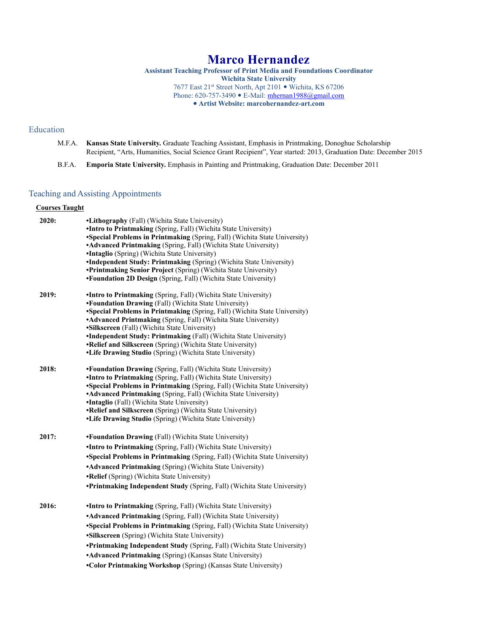# **Marco Hernandez**

**Assistant Teaching Professor of Print Media and Foundations Coordinator Wichita State University** 7677 East 21st Street North, Apt 2101 . Wichita, KS 67206 Phone: 620-757-3490 • E-Mail: [mhernan1988@gmail.com](mailto:mhernan1988@gmail.com) **Artist Website: marcohernandez-art.com**

#### Education

- M.F.A. **Kansas State University.** Graduate Teaching Assistant, Emphasis in Printmaking, Donoghue Scholarship Recipient, "Arts, Humanities, Social Science Grant Recipient", Year started: 2013, Graduation Date: December 2015
- B.F.A. **Emporia State University.** Emphasis in Painting and Printmaking, Graduation Date: December 2011

### Teaching and Assisting Appointments

#### **Courses Taught**

| 2020: | •Lithography (Fall) (Wichita State University)                                                                                         |
|-------|----------------------------------------------------------------------------------------------------------------------------------------|
|       | •Intro to Printmaking (Spring, Fall) (Wichita State University)                                                                        |
|       | •Special Problems in Printmaking (Spring, Fall) (Wichita State University)                                                             |
|       | • Advanced Printmaking (Spring, Fall) (Wichita State University)                                                                       |
|       | •Intaglio (Spring) (Wichita State University)                                                                                          |
|       | •Independent Study: Printmaking (Spring) (Wichita State University)<br>•Printmaking Senior Project (Spring) (Wichita State University) |
|       | •Foundation 2D Design (Spring, Fall) (Wichita State University)                                                                        |
|       |                                                                                                                                        |
| 2019: | •Intro to Printmaking (Spring, Fall) (Wichita State University)                                                                        |
|       | •Foundation Drawing (Fall) (Wichita State University)                                                                                  |
|       | •Special Problems in Printmaking (Spring, Fall) (Wichita State University)                                                             |
|       | • Advanced Printmaking (Spring, Fall) (Wichita State University)                                                                       |
|       | •Silkscreen (Fall) (Wichita State University)                                                                                          |
|       | •Independent Study: Printmaking (Fall) (Wichita State University)                                                                      |
|       | •Relief and Silkscreen (Spring) (Wichita State University)<br>•Life Drawing Studio (Spring) (Wichita State University)                 |
|       |                                                                                                                                        |
| 2018: | •Foundation Drawing (Spring, Fall) (Wichita State University)                                                                          |
|       | •Intro to Printmaking (Spring, Fall) (Wichita State University)                                                                        |
|       | •Special Problems in Printmaking (Spring, Fall) (Wichita State University)                                                             |
|       | • Advanced Printmaking (Spring, Fall) (Wichita State University)                                                                       |
|       | •Intaglio (Fall) (Wichita State University)                                                                                            |
|       | •Relief and Silkscreen (Spring) (Wichita State University)                                                                             |
|       | •Life Drawing Studio (Spring) (Wichita State University)                                                                               |
| 2017: | <b>•Foundation Drawing</b> (Fall) (Wichita State University)                                                                           |
|       | •Intro to Printmaking (Spring, Fall) (Wichita State University)                                                                        |
|       | •Special Problems in Printmaking (Spring, Fall) (Wichita State University)                                                             |
|       | • Advanced Printmaking (Spring) (Wichita State University)                                                                             |
|       | •Relief (Spring) (Wichita State University)                                                                                            |
|       | •Printmaking Independent Study (Spring, Fall) (Wichita State University)                                                               |
| 2016: | •Intro to Printmaking (Spring, Fall) (Wichita State University)                                                                        |
|       | • Advanced Printmaking (Spring, Fall) (Wichita State University)                                                                       |
|       | • Special Problems in Printmaking (Spring, Fall) (Wichita State University)                                                            |
|       | •Silkscreen (Spring) (Wichita State University)                                                                                        |
|       | • Printmaking Independent Study (Spring, Fall) (Wichita State University)                                                              |
|       | • Advanced Printmaking (Spring) (Kansas State University)                                                                              |
|       | •Color Printmaking Workshop (Spring) (Kansas State University)                                                                         |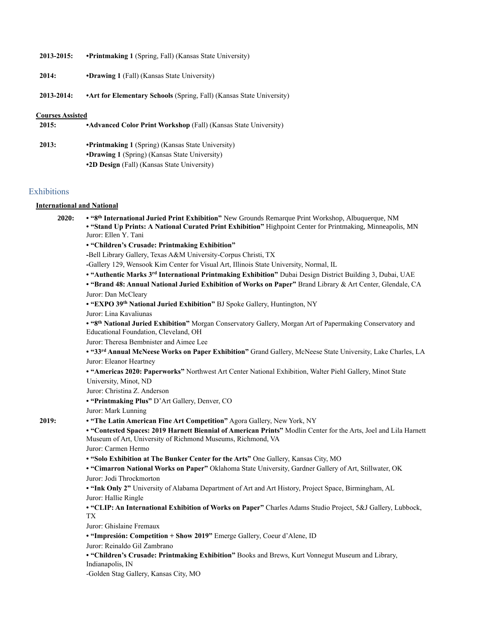| 2013-2015:              | <b>•Printmaking 1</b> (Spring, Fall) (Kansas State University)              |
|-------------------------|-----------------------------------------------------------------------------|
| 2014:                   | <b>•Drawing 1</b> (Fall) (Kansas State University)                          |
| 2013-2014:              | <b>•Art for Elementary Schools</b> (Spring, Fall) (Kansas State University) |
| <b>Courses Assisted</b> |                                                                             |
| 2015:                   | •Advanced Color Print Workshop (Fall) (Kansas State University)             |
| 2013:                   | <b>•Printmaking 1</b> (Spring) (Kansas State University)                    |
|                         | <b>•Drawing 1</b> (Spring) (Kansas State University)                        |

**•2D Design** (Fall) (Kansas State University)

#### **Exhibitions**

#### **International and National**

**2020: • "8th International Juried Print Exhibition"** New Grounds Remarque Print Workshop, Albuquerque, NM **• "Stand Up Prints: A National Curated Print Exhibition"** Highpoint Center for Printmaking, Minneapolis, MN Juror: Ellen Y. Tani **• "Children's Crusade: Printmaking Exhibition" -**Bell Library Gallery, Texas A&M University-Corpus Christi, TX **-**Gallery 129, Wensook Kim Center for Visual Art, Illinois State University, Normal, IL **• "Authentic Marks 3rd International Printmaking Exhibition"** Dubai Design District Building 3, Dubai, UAE **• "Brand 48: Annual National Juried Exhibition of Works on Paper"** Brand Library & Art Center, Glendale, CA Juror: Dan McCleary **• "EXPO 39th National Juried Exhibition"** BJ Spoke Gallery, Huntington, NY Juror: Lina Kavaliunas **• "8th National Juried Exhibition"** Morgan Conservatory Gallery, Morgan Art of Papermaking Conservatory and Educational Foundation, Cleveland, OH Juror: Theresa Bembnister and Aimee Lee **• "33rd Annual McNeese Works on Paper Exhibition"** Grand Gallery, McNeese State University, Lake Charles, LA Juror: Eleanor Heartney **• "Americas 2020: Paperworks"** Northwest Art Center National Exhibition, Walter Piehl Gallery, Minot State University, Minot, ND Juror: Christina Z. Anderson **• "Printmaking Plus"** D'Art Gallery, Denver, CO Juror: Mark Lunning **2019: • "The Latin American Fine Art Competition"** Agora Gallery, New York, NY **• "Contested Spaces: 2019 Harnett Biennial of American Prints"** Modlin Center for the Arts, Joel and Lila Harnett Museum of Art, University of Richmond Museums, Richmond, VA Juror: Carmen Hermo **• "Solo Exhibition at The Bunker Center for the Arts"** One Gallery, Kansas City, MO **• "Cimarron National Works on Paper"** Oklahoma State University, Gardner Gallery of Art, Stillwater, OK Juror: Jodi Throckmorton **• "Ink Only 2"** University of Alabama Department of Art and Art History, Project Space, Birmingham, AL Juror: Hallie Ringle **• "CLIP: An International Exhibition of Works on Paper"** Charles Adams Studio Project, 5&J Gallery, Lubbock, TX Juror: Ghislaine Fremaux **• "Impresión: Competition + Show 2019"** Emerge Gallery, Coeur d'Alene, ID Juror: Reinaldo Gil Zambrano **• "Children's Crusade: Printmaking Exhibition"** Books and Brews, Kurt Vonnegut Museum and Library, Indianapolis, IN -Golden Stag Gallery, Kansas City, MO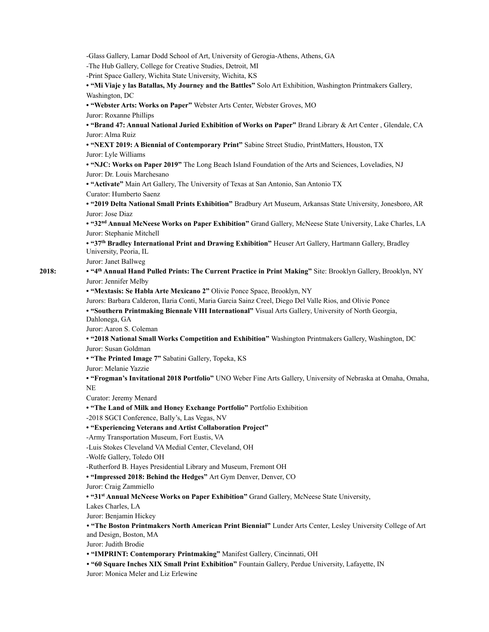-Glass Gallery, Lamar Dodd School of Art, University of Gerogia-Athens, Athens, GA -The Hub Gallery, College for Creative Studies, Detroit, MI -Print Space Gallery, Wichita State University, Wichita, KS **• "Mi Viaje y las Batallas, My Journey and the Battles"** Solo Art Exhibition, Washington Printmakers Gallery, Washington, DC **• "Webster Arts: Works on Paper"** Webster Arts Center, Webster Groves, MO Juror: Roxanne Phillips **• "Brand 47: Annual National Juried Exhibition of Works on Paper"** Brand Library & Art Center , Glendale, CA Juror: Alma Ruiz **• "NEXT 2019: A Biennial of Contemporary Print"** Sabine Street Studio, PrintMatters, Houston, TX Juror: Lyle Williams **• "NJC: Works on Paper 2019"** The Long Beach Island Foundation of the Arts and Sciences, Loveladies, NJ Juror: Dr. Louis Marchesano **• "Activate"** Main Art Gallery, The University of Texas at San Antonio, San Antonio TX Curator: Humberto Saenz **• "2019 Delta National Small Prints Exhibition"** Bradbury Art Museum, Arkansas State University, Jonesboro, AR Juror: Jose Diaz **• "32nd Annual McNeese Works on Paper Exhibition"** Grand Gallery, McNeese State University, Lake Charles, LA Juror: Stephanie Mitchell **• "37th Bradley International Print and Drawing Exhibition"** Heuser Art Gallery, Hartmann Gallery, Bradley University, Peoria, IL Juror: Janet Ballweg **2018: • "4th Annual Hand Pulled Prints: The Current Practice in Print Making"** Site: Brooklyn Gallery, Brooklyn, NY Juror: Jennifer Melby **• "Mextasis: Se Habla Arte Mexicano 2"** Olivie Ponce Space, Brooklyn, NY Jurors: Barbara Calderon, Ilaria Conti, Maria Garcia Sainz Creel, Diego Del Valle Rios, and Olivie Ponce **• "Southern Printmaking Biennale VIII International"** Visual Arts Gallery, University of North Georgia, Dahlonega, GA Juror: Aaron S. Coleman **• "2018 National Small Works Competition and Exhibition"** Washington Printmakers Gallery, Washington, DC Juror: Susan Goldman **• "The Printed Image 7"** Sabatini Gallery, Topeka, KS Juror: Melanie Yazzie **• "Frogman's Invitational 2018 Portfolio"** UNO Weber Fine Arts Gallery, University of Nebraska at Omaha, Omaha, NE Curator: Jeremy Menard **• "The Land of Milk and Honey Exchange Portfolio"** Portfolio Exhibition -2018 SGCI Conference, Bally's, Las Vegas, NV **• "Experiencing Veterans and Artist Collaboration Project"**  -Army Transportation Museum, Fort Eustis, VA -Luis Stokes Cleveland VA Medial Center, Cleveland, OH -Wolfe Gallery, Toledo OH -Rutherford B. Hayes Presidential Library and Museum, Fremont OH **• "Impressed 2018: Behind the Hedges"** Art Gym Denver, Denver, CO Juror: Craig Zammiello **• "31st Annual McNeese Works on Paper Exhibition"** Grand Gallery, McNeese State University, Lakes Charles, LA Juror: Benjamin Hickey **• "The Boston Printmakers North American Print Biennial"** Lunder Arts Center, Lesley University College of Art and Design, Boston, MA Juror: Judith Brodie **• "IMPRINT: Contemporary Printmaking"** Manifest Gallery, Cincinnati, OH

**• "60 Square Inches XIX Small Print Exhibition"** Fountain Gallery, Perdue University, Lafayette, IN

Juror: Monica Meler and Liz Erlewine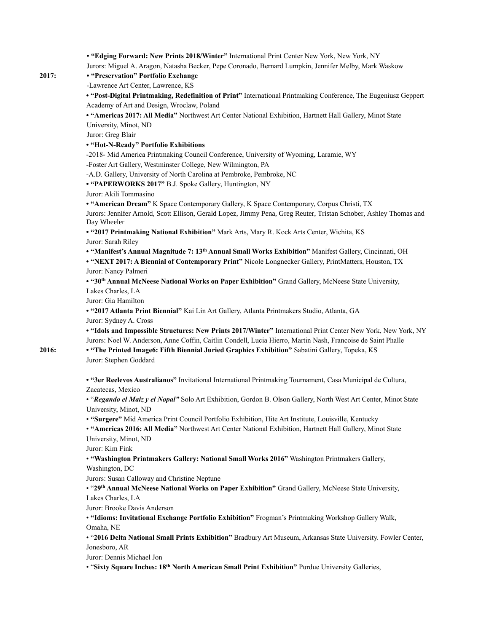**• "Edging Forward: New Prints 2018/Winter"** International Print Center New York, New York, NY Jurors: Miguel A. Aragon, Natasha Becker, Pepe Coronado, Bernard Lumpkin, Jennifer Melby, Mark Waskow **2017: • "Preservation" Portfolio Exchange**  -Lawrence Art Center, Lawrence, KS **• "Post-Digital Printmaking, Redefinition of Print"** International Printmaking Conference, The Eugeniusz Geppert Academy of Art and Design, Wroclaw, Poland **• "Americas 2017: All Media"** Northwest Art Center National Exhibition, Hartnett Hall Gallery, Minot State University, Minot, ND Juror: Greg Blair **• "Hot-N-Ready" Portfolio Exhibitions**  -2018- Mid America Printmaking Council Conference, University of Wyoming, Laramie, WY -Foster Art Gallery, Westminster College, New Wilmington, PA -A.D. Gallery, University of North Carolina at Pembroke, Pembroke, NC **• "PAPERWORKS 2017"** B.J. Spoke Gallery, Huntington, NY Juror: Akili Tommasino **• "American Dream"** K Space Contemporary Gallery, K Space Contemporary, Corpus Christi, TX Jurors: Jennifer Arnold, Scott Ellison, Gerald Lopez, Jimmy Pena, Greg Reuter, Tristan Schober, Ashley Thomas and Day Wheeler **• "2017 Printmaking National Exhibition"** Mark Arts, Mary R. Kock Arts Center, Wichita, KS Juror: Sarah Riley **• "Manifest's Annual Magnitude 7: 13th Annual Small Works Exhibition"** Manifest Gallery, Cincinnati, OH **• "NEXT 2017: A Biennial of Contemporary Print"** Nicole Longnecker Gallery, PrintMatters, Houston, TX Juror: Nancy Palmeri **• "30th Annual McNeese National Works on Paper Exhibition"** Grand Gallery, McNeese State University, Lakes Charles, LA Juror: Gia Hamilton **• "2017 Atlanta Print Biennial"** Kai Lin Art Gallery, Atlanta Printmakers Studio, Atlanta, GA Juror: Sydney A. Cross **• "Idols and Impossible Structures: New Prints 2017/Winter"** International Print Center New York, New York, NY Jurors: Noel W. Anderson, Anne Coffin, Caitlin Condell, Lucia Hierro, Martin Nash, Francoise de Saint Phalle **2016: • "The Printed Image6: Fifth Biennial Juried Graphics Exhibition"** Sabatini Gallery, Topeka, KS Juror: Stephen Goddard **• "3er Reelevos Australianos"** Invitational International Printmaking Tournament, Casa Municipal de Cultura, Zacatecas, Mexico • "*Regando el Maiz y el Nopal"* Solo Art Exhibition, Gordon B. Olson Gallery, North West Art Center, Minot State University, Minot, ND • **"Surgere"** Mid America Print Council Portfolio Exhibition, Hite Art Institute, Louisville, Kentucky • **"Americas 2016: All Media"** Northwest Art Center National Exhibition, Hartnett Hall Gallery, Minot State University, Minot, ND Juror: Kim Fink • **"Washington Printmakers Gallery: National Small Works 2016"** Washington Printmakers Gallery, Washington, DC Jurors: Susan Calloway and Christine Neptune • "**29th Annual McNeese National Works on Paper Exhibition"** Grand Gallery, McNeese State University, Lakes Charles, LA Juror: Brooke Davis Anderson • **"Idioms: Invitational Exchange Portfolio Exhibition"** Frogman's Printmaking Workshop Gallery Walk, Omaha, NE • "**2016 Delta National Small Prints Exhibition"** Bradbury Art Museum, Arkansas State University. Fowler Center, Jonesboro, AR Juror: Dennis Michael Jon • "**Sixty Square Inches: 18th North American Small Print Exhibition"** Purdue University Galleries,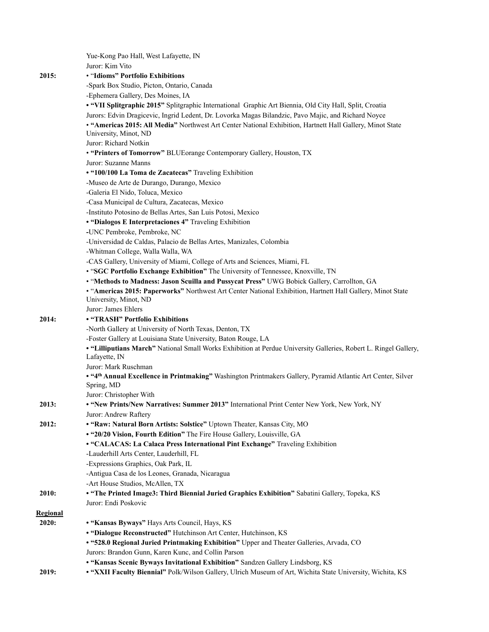|                 | Yue-Kong Pao Hall, West Lafayette, IN                                                                            |
|-----------------|------------------------------------------------------------------------------------------------------------------|
|                 | Juror: Kim Vito                                                                                                  |
| 2015:           | • "Idioms" Portfolio Exhibitions                                                                                 |
|                 | -Spark Box Studio, Picton, Ontario, Canada                                                                       |
|                 | -Ephemera Gallery, Des Moines, IA                                                                                |
|                 | . "VII Splitgraphic 2015" Splitgraphic International Graphic Art Biennia, Old City Hall, Split, Croatia          |
|                 | Jurors: Edvin Dragicevic, Ingrid Ledent, Dr. Lovorka Magas Bilandzic, Pavo Majic, and Richard Noyce              |
|                 | . "Americas 2015: All Media" Northwest Art Center National Exhibition, Hartnett Hall Gallery, Minot State        |
|                 | University, Minot, ND                                                                                            |
|                 | Juror: Richard Notkin                                                                                            |
|                 | • "Printers of Tomorrow" BLUEorange Contemporary Gallery, Houston, TX                                            |
|                 | Juror: Suzanne Manns                                                                                             |
|                 | • "100/100 La Toma de Zacatecas" Traveling Exhibition                                                            |
|                 | -Museo de Arte de Durango, Durango, Mexico                                                                       |
|                 | -Galeria El Nido, Toluca, Mexico                                                                                 |
|                 | -Casa Municipal de Cultura, Zacatecas, Mexico                                                                    |
|                 | -Instituto Potosino de Bellas Artes, San Luis Potosi, Mexico                                                     |
|                 | • "Dialogos E Interpretaciones 4" Traveling Exhibition                                                           |
|                 | -UNC Pembroke, Pembroke, NC                                                                                      |
|                 | -Universidad de Caldas, Palacio de Bellas Artes, Manizales, Colombia                                             |
|                 | -Whitman College, Walla Walla, WA                                                                                |
|                 | -CAS Gallery, University of Miami, College of Arts and Sciences, Miami, FL                                       |
|                 | • "SGC Portfolio Exchange Exhibition" The University of Tennessee, Knoxville, TN                                 |
|                 | . "Methods to Madness: Jason Scuilla and Pussycat Press" UWG Bobick Gallery, Carrollton, GA                      |
|                 | . "Americas 2015: Paperworks" Northwest Art Center National Exhibition, Hartnett Hall Gallery, Minot State       |
|                 | University, Minot, ND                                                                                            |
|                 | Juror: James Ehlers                                                                                              |
| 2014:           | • "TRASH" Portfolio Exhibitions                                                                                  |
|                 | -North Gallery at University of North Texas, Denton, TX                                                          |
|                 | -Foster Gallery at Louisiana State University, Baton Rouge, LA                                                   |
|                 | . "Lilliputians March" National Small Works Exhibition at Perdue University Galleries, Robert L. Ringel Gallery, |
|                 | Lafayette, IN                                                                                                    |
|                 | Juror: Mark Ruschman                                                                                             |
|                 | . "4th Annual Excellence in Printmaking" Washington Printmakers Gallery, Pyramid Atlantic Art Center, Silver     |
|                 | Spring, MD                                                                                                       |
|                 | Juror: Christopher With                                                                                          |
| 2013:           | . "New Prints/New Narratives: Summer 2013" International Print Center New York, New York, NY                     |
|                 | Juror: Andrew Raftery                                                                                            |
| 2012:           | • "Raw: Natural Born Artists: Solstice" Uptown Theater, Kansas City, MO                                          |
|                 | . "20/20 Vision, Fourth Edition" The Fire House Gallery, Louisville, GA                                          |
|                 | • "CALACAS: La Calaca Press International Pint Exchange" Traveling Exhibition                                    |
|                 | -Lauderhill Arts Center, Lauderhill, FL                                                                          |
|                 | -Expressions Graphics, Oak Park, IL                                                                              |
|                 | -Antigua Casa de los Leones, Granada, Nicaragua                                                                  |
|                 | -Art House Studios, McAllen, TX                                                                                  |
| 2010:           | . "The Printed Image3: Third Biennial Juried Graphics Exhibition" Sabatini Gallery, Topeka, KS                   |
|                 | Juror: Endi Poskovic                                                                                             |
| <b>Regional</b> |                                                                                                                  |
| 2020:           | • "Kansas Byways" Hays Arts Council, Hays, KS                                                                    |
|                 | • "Dialogue Reconstructed" Hutchinson Art Center, Hutchinson, KS                                                 |
|                 | • "528.0 Regional Juried Printmaking Exhibition" Upper and Theater Galleries, Arvada, CO                         |
|                 | Jurors: Brandon Gunn, Karen Kunc, and Collin Parson                                                              |
|                 | • "Kansas Scenic Byways Invitational Exhibition" Sandzen Gallery Lindsborg, KS                                   |
| 2019:           | . "XXII Faculty Biennial" Polk/Wilson Gallery, Ulrich Museum of Art, Wichita State University, Wichita, KS       |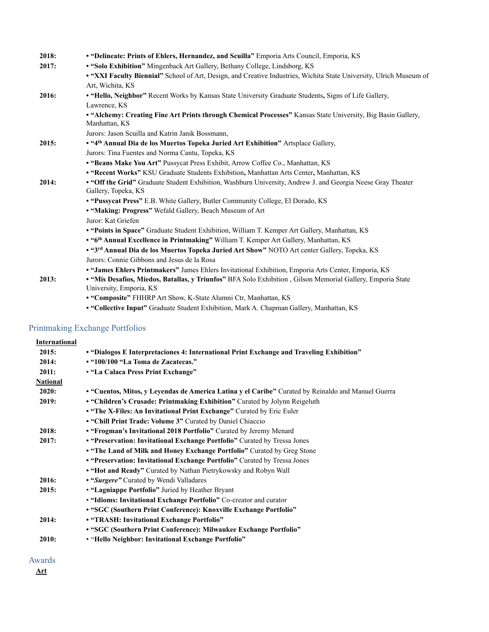| 2018: | • "Delineate: Prints of Ehlers, Hernandez, and Scuilla" Emporia Arts Council, Emporia, KS                                             |
|-------|---------------------------------------------------------------------------------------------------------------------------------------|
| 2017: | . "Solo Exhibition" Mingenback Art Gallery, Bethany College, Lindsborg, KS                                                            |
|       | . "XXI Faculty Biennial" School of Art, Design, and Creative Industries, Wichita State University, Ulrich Museum of                   |
|       | Art, Wichita, KS                                                                                                                      |
| 2016: | • "Hello, Neighbor" Recent Works by Kansas State University Graduate Students, Signs of Life Gallery,                                 |
|       | Lawrence, KS                                                                                                                          |
|       | • "Alchemy: Creating Fine Art Prints through Chemical Processes" Kansas State University, Big Basin Gallery,<br>Manhattan, KS         |
|       | Jurors: Jason Scuilla and Katrin Janik Bossmann,                                                                                      |
| 2015: | • "4th Annual Dia de los Muertos Topeka Juried Art Exhibition" Artsplace Gallery,                                                     |
|       | Jurors: Tina Fuentes and Norma Cantu, Topeka, KS                                                                                      |
|       | • "Beans Make You Art" Pussycat Press Exhibit, Arrow Coffee Co., Manhattan, KS                                                        |
|       | . "Recent Works" KSU Graduate Students Exhibition, Manhattan Arts Center, Manhattan, KS                                               |
| 2014: | • "Off the Grid" Graduate Student Exhibition, Washburn University, Andrew J. and Georgia Neese Gray Theater                           |
|       | Gallery, Topeka, KS                                                                                                                   |
|       | . "Pussycat Press" E.B. White Gallery, Butler Community College, El Dorado, KS                                                        |
|       | • "Making: Progress" Wefald Gallery, Beach Museum of Art                                                                              |
|       | Juror: Kat Griefen                                                                                                                    |
|       | . "Points in Space" Graduate Student Exhibition, William T. Kemper Art Gallery, Manhattan, KS                                         |
|       | • "6th Annual Excellence in Printmaking" William T. Kemper Art Gallery, Manhattan, KS                                                 |
|       | . "3rd Annual Dia de los Muertos Topeka Juried Art Show" NOTO Art center Gallery, Topeka, KS                                          |
|       | Jurors: Connie Gibbons and Jesus de la Rosa                                                                                           |
|       | · "James Ehlers Printmakers" James Ehlers Invitational Exhibition, Emporia Arts Center, Emporia, KS                                   |
| 2013: | · "Mis Desafios, Miedos, Batallas, y Triunfos" BFA Solo Exhibition, Gilson Memorial Gallery, Emporia State<br>University, Emporia, KS |
|       | • "Composite" FHHRP Art Show, K-State Alumni Ctr, Manhattan, KS                                                                       |

**• "Collective Input"** Graduate Student Exhibition, Mark A. Chapman Gallery, Manhattan, KS

### Printmaking Exchange Portfolios

| <b>International</b> |                                                                                                    |
|----------------------|----------------------------------------------------------------------------------------------------|
| 2015:                | • "Dialogos E Interpretaciones 4: International Print Exchange and Traveling Exhibition"           |
| 2014:                | • "100/100 "La Toma de Zacatecas."                                                                 |
| 2011:                | • "La Calaca Press Print Exchange"                                                                 |
| <b>National</b>      |                                                                                                    |
| 2020:                | • "Cuentos, Mitos, y Leyendas de America Latina y el Caribe" Curated by Reinaldo and Manuel Guerra |
| 2019:                | • "Children's Crusade: Printmaking Exhibition" Curated by Jolynn Reigeluth                         |
|                      | . "The X-Files: An Invitational Print Exchange" Curated by Eric Euler                              |
|                      | . "Chill Print Trade: Volume 3" Curated by Daniel Chiaccio                                         |
| 2018:                | • "Frogman's Invitational 2018 Portfolio" Curated by Jeremy Menard                                 |
| 2017:                | • "Preservation: Invitational Exchange Portfolio" Curated by Tressa Jones                          |
|                      | . "The Land of Milk and Honey Exchange Portfolio" Curated by Greg Stone                            |
|                      | • "Preservation: Invitational Exchange Portfolio" Curated by Tressa Jones                          |
|                      | • "Hot and Ready" Curated by Nathan Pietrykowsky and Robyn Wall                                    |
| 2016:                | • "Surgere" Curated by Wendi Valladares                                                            |
| 2015:                | • "Lagniappe Portfolio" Juried by Heather Bryant                                                   |
|                      | . "Idioms: Invitational Exchange Portfolio" Co-creator and curator                                 |
|                      | • "SGC (Southern Print Conference): Knoxville Exchange Portfolio"                                  |
| 2014:                | • "TRASH: Invitational Exchange Portfolio"                                                         |
|                      | • "SGC (Southern Print Conference): Milwaukee Exchange Portfolio"                                  |
| 2010:                | • "Hello Neighbor: Invitational Exchange Portfolio"                                                |
|                      |                                                                                                    |

### Awards

**Art**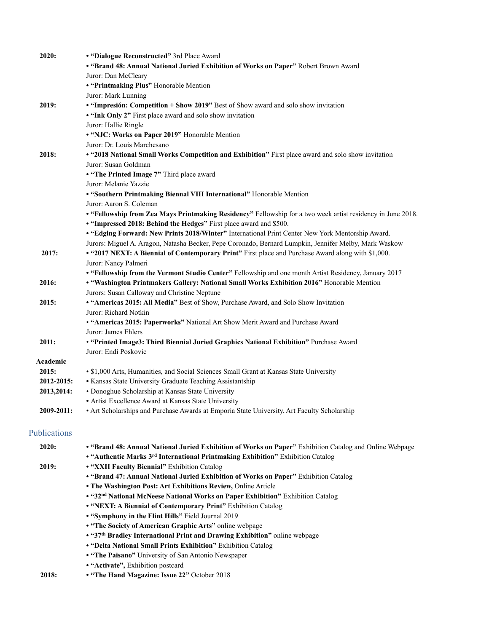| 2020:           | • "Dialogue Reconstructed" 3rd Place Award                                                                  |
|-----------------|-------------------------------------------------------------------------------------------------------------|
|                 | • "Brand 48: Annual National Juried Exhibition of Works on Paper" Robert Brown Award                        |
|                 | Juror: Dan McCleary                                                                                         |
|                 | • "Printmaking Plus" Honorable Mention                                                                      |
|                 | Juror: Mark Lunning                                                                                         |
| 2019:           | • "Impresión: Competition + Show 2019" Best of Show award and solo show invitation                          |
|                 | . "Ink Only 2" First place award and solo show invitation                                                   |
|                 | Juror: Hallie Ringle                                                                                        |
|                 | • "NJC: Works on Paper 2019" Honorable Mention                                                              |
|                 | Juror: Dr. Louis Marchesano                                                                                 |
| 2018:           | • "2018 National Small Works Competition and Exhibition" First place award and solo show invitation         |
|                 | Juror: Susan Goldman                                                                                        |
|                 | • "The Printed Image 7" Third place award                                                                   |
|                 | Juror: Melanie Yazzie                                                                                       |
|                 | • "Southern Printmaking Biennal VIII International" Honorable Mention                                       |
|                 | Juror: Aaron S. Coleman                                                                                     |
|                 | • "Fellowship from Zea Mays Printmaking Residency" Fellowship for a two week artist residency in June 2018. |
|                 | • "Impressed 2018: Behind the Hedges" First place award and \$500.                                          |
|                 | • "Edging Forward: New Prints 2018/Winter" International Print Center New York Mentorship Award.            |
|                 |                                                                                                             |
|                 | Jurors: Miguel A. Aragon, Natasha Becker, Pepe Coronado, Bernard Lumpkin, Jennifer Melby, Mark Waskow       |
| 2017:           | • "2017 NEXT: A Biennial of Contemporary Print" First place and Purchase Award along with \$1,000.          |
|                 | Juror: Nancy Palmeri                                                                                        |
|                 | • "Fellowship from the Vermont Studio Center" Fellowship and one month Artist Residency, January 2017       |
| 2016:           | . "Washington Printmakers Gallery: National Small Works Exhibition 2016" Honorable Mention                  |
|                 | Jurors: Susan Calloway and Christine Neptune                                                                |
| 2015:           | • "Americas 2015: All Media" Best of Show, Purchase Award, and Solo Show Invitation                         |
|                 | Juror: Richard Notkin                                                                                       |
|                 | • "Americas 2015: Paperworks" National Art Show Merit Award and Purchase Award                              |
|                 | Juror: James Ehlers                                                                                         |
| 2011:           | • "Printed Image3: Third Biennial Juried Graphics National Exhibition" Purchase Award                       |
|                 | Juror: Endi Poskovic                                                                                        |
| <b>Academic</b> |                                                                                                             |
| 2015:           | · \$1,000 Arts, Humanities, and Social Sciences Small Grant at Kansas State University                      |
| 2012-2015:      | • Kansas State University Graduate Teaching Assistantship                                                   |
| 2013,2014:      | • Donoghue Scholarship at Kansas State University                                                           |
|                 | • Artist Excellence Award at Kansas State University                                                        |
| 2009-2011:      | • Art Scholarships and Purchase Awards at Emporia State University, Art Faculty Scholarship                 |
| Publications    |                                                                                                             |
| 2020:           | . "Brand 48: Annual National Juried Exhibition of Works on Paper" Exhibition Catalog and Online Webpage     |
|                 | • "Authentic Marks 3rd International Printmaking Exhibition" Exhibition Catalog                             |
| 2019:           | • "XXII Faculty Biennial" Exhibition Catalog                                                                |
|                 | • "Brand 47: Annual National Juried Exhibition of Works on Paper" Exhibition Catalog                        |
|                 | . The Washington Post: Art Exhibitions Review, Online Article                                               |
|                 | • "32nd National McNeese National Works on Paper Exhibition" Exhibition Catalog                             |
|                 | • "NEXT: A Biennial of Contemporary Print" Exhibition Catalog                                               |
|                 | • "Symphony in the Flint Hills" Field Journal 2019                                                          |
|                 | . "The Society of American Graphic Arts" online webpage                                                     |
|                 | • "37th Bradley International Print and Drawing Exhibition" online webpage                                  |
|                 | . "Delta National Small Prints Exhibition" Exhibition Catalog                                               |
|                 | • "The Paisano" University of San Antonio Newspaper                                                         |
|                 |                                                                                                             |

- **• "Activate",** Exhibition postcard
- **2018: • "The Hand Magazine: Issue 22"** October 2018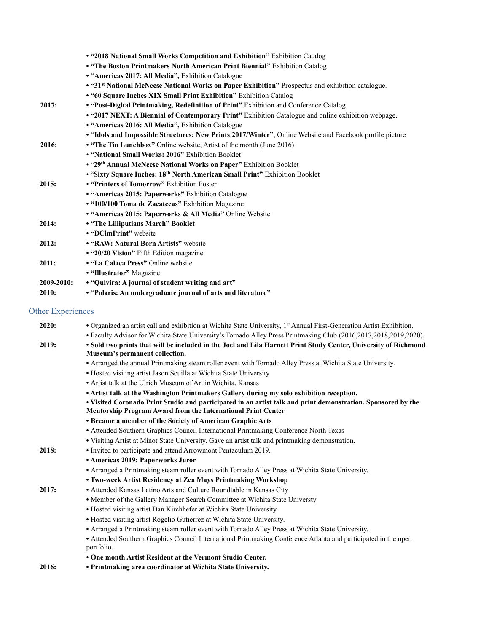|            | • "2018 National Small Works Competition and Exhibition" Exhibition Catalog                                   |
|------------|---------------------------------------------------------------------------------------------------------------|
|            | . "The Boston Printmakers North American Print Biennial" Exhibition Catalog                                   |
|            | • "Americas 2017: All Media", Exhibition Catalogue                                                            |
|            | • "31 <sup>st</sup> National McNeese National Works on Paper Exhibition" Prospectus and exhibition catalogue. |
|            | • "60 Square Inches XIX Small Print Exhibition" Exhibition Catalog                                            |
| 2017:      | • "Post-Digital Printmaking, Redefinition of Print" Exhibition and Conference Catalog                         |
|            | • "2017 NEXT: A Biennial of Contemporary Print" Exhibition Catalogue and online exhibition webpage.           |
|            | • "Americas 2016: All Media", Exhibition Catalogue                                                            |
|            | • "Idols and Impossible Structures: New Prints 2017/Winter", Online Website and Facebook profile picture      |
| 2016:      | • "The Tin Lunchbox" Online website, Artist of the month (June 2016)                                          |
|            | • "National Small Works: 2016" Exhibition Booklet                                                             |
|            | • "29th Annual McNeese National Works on Paper" Exhibition Booklet                                            |
|            | • "Sixty Square Inches: 18th North American Small Print" Exhibition Booklet                                   |
| 2015:      | • "Printers of Tomorrow" Exhibition Poster                                                                    |
|            | • "Americas 2015: Paperworks" Exhibition Catalogue                                                            |
|            | • "100/100 Toma de Zacatecas" Exhibition Magazine                                                             |
|            | • "Americas 2015: Paperworks & All Media" Online Website                                                      |
| 2014:      | • "The Lilliputians March" Booklet                                                                            |
|            | • "DCimPrint" website                                                                                         |
| 2012:      | • "RAW: Natural Born Artists" website                                                                         |
|            | • "20/20 Vision" Fifth Edition magazine                                                                       |
| 2011:      | • "La Calaca Press" Online website                                                                            |
|            | • "Illustrator" Magazine                                                                                      |
| 2009-2010: | • "Quivira: A journal of student writing and art"                                                             |
| 2010:      | • "Polaris: An undergraduate journal of arts and literature"                                                  |

## Other Experiences

| 2020: | • Organized an artist call and exhibition at Wichita State University, 1st Annual First-Generation Artist Exhibition.        |
|-------|------------------------------------------------------------------------------------------------------------------------------|
|       | • Faculty Advisor for Wichita State University's Tornado Alley Press Printmaking Club (2016,2017,2018,2019,2020).            |
| 2019: | . Sold two prints that will be included in the Joel and Lila Harnett Print Study Center, University of Richmond              |
|       | Museum's permanent collection.                                                                                               |
|       | • Arranged the annual Printmaking steam roller event with Tornado Alley Press at Wichita State University.                   |
|       | • Hosted visiting artist Jason Scuilla at Wichita State University                                                           |
|       | • Artist talk at the Ulrich Museum of Art in Wichita, Kansas                                                                 |
|       | • Artist talk at the Washington Printmakers Gallery during my solo exhibition reception.                                     |
|       | . Visited Coronado Print Studio and participated in an artist talk and print demonstration. Sponsored by the                 |
|       | Mentorship Program Award from the International Print Center                                                                 |
|       | • Became a member of the Society of American Graphic Arts                                                                    |
|       | • Attended Southern Graphics Council International Printmaking Conference North Texas                                        |
|       | . Visiting Artist at Minot State University. Gave an artist talk and printmaking demonstration.                              |
| 2018: | • Invited to participate and attend Arrowmont Pentaculum 2019.                                                               |
|       | • Americas 2019: Paperworks Juror                                                                                            |
|       | • Arranged a Printmaking steam roller event with Tornado Alley Press at Wichita State University.                            |
|       | • Two-week Artist Residency at Zea Mays Printmaking Workshop                                                                 |
| 2017: | • Attended Kansas Latino Arts and Culture Roundtable in Kansas City                                                          |
|       | • Member of the Gallery Manager Search Committee at Wichita State Universty                                                  |
|       | • Hosted visiting artist Dan Kirchhefer at Wichita State University.                                                         |
|       | • Hosted visiting artist Rogelio Gutierrez at Wichita State University.                                                      |
|       | • Arranged a Printmaking steam roller event with Tornado Alley Press at Wichita State University.                            |
|       | • Attended Southern Graphics Council International Printmaking Conference Atlanta and participated in the open<br>portfolio. |
|       | • One month Artist Resident at the Vermont Studio Center.                                                                    |
| 2016: | • Printmaking area coordinator at Wichita State University.                                                                  |